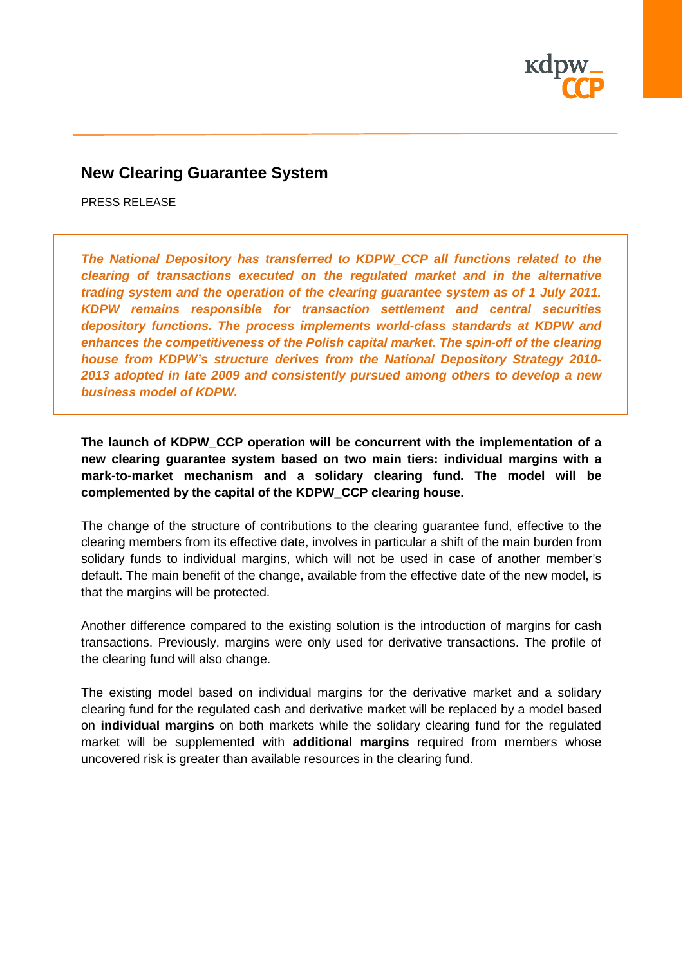

# **New Clearing Guarantee System**

PRESS RELEASE

*The National Depository has transferred to KDPW\_CCP all functions related to the clearing of transactions executed on the regulated market and in the alternative trading system and the operation of the clearing guarantee system as of 1 July 2011. KDPW remains responsible for transaction settlement and central securities depository functions. The process implements world-class standards at KDPW and enhances the competitiveness of the Polish capital market. The spin-off of the clearing house from KDPW's structure derives from the National Depository Strategy 2010- 2013 adopted in late 2009 and consistently pursued among others to develop a new business model of KDPW.*

**The launch of KDPW\_CCP operation will be concurrent with the implementation of a new clearing guarantee system based on two main tiers: individual margins with a mark-to-market mechanism and a solidary clearing fund. The model will be complemented by the capital of the KDPW\_CCP clearing house.**

The change of the structure of contributions to the clearing guarantee fund, effective to the clearing members from its effective date, involves in particular a shift of the main burden from solidary funds to individual margins, which will not be used in case of another member's default. The main benefit of the change, available from the effective date of the new model, is that the margins will be protected.

Another difference compared to the existing solution is the introduction of margins for cash transactions. Previously, margins were only used for derivative transactions. The profile of the clearing fund will also change.

The existing model based on individual margins for the derivative market and a solidary clearing fund for the regulated cash and derivative market will be replaced by a model based on **individual margins** on both markets while the solidary clearing fund for the regulated market will be supplemented with **additional margins** required from members whose uncovered risk is greater than available resources in the clearing fund.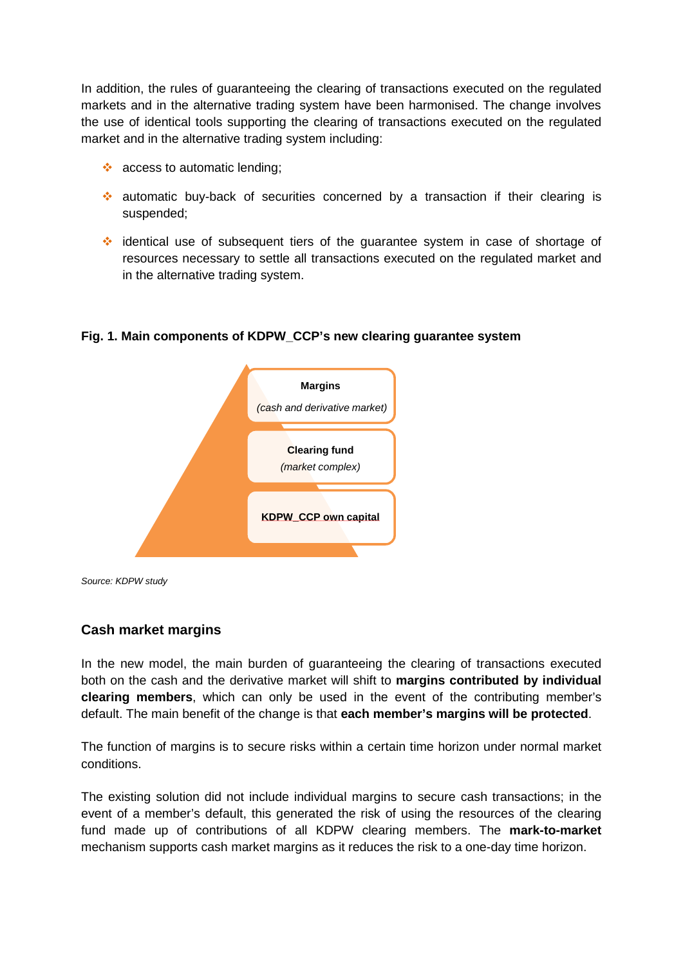In addition, the rules of guaranteeing the clearing of transactions executed on the regulated markets and in the alternative trading system have been harmonised. The change involves the use of identical tools supporting the clearing of transactions executed on the regulated market and in the alternative trading system including:

- ❖ access to automatic lending;
- $\cdot$  automatic buy-back of securities concerned by a transaction if their clearing is suspended;
- identical use of subsequent tiers of the guarantee system in case of shortage of resources necessary to settle all transactions executed on the regulated market and in the alternative trading system.



#### **Fig. 1. Main components of KDPW\_CCP's new clearing guarantee system**

*Source: KDPW study*

### **Cash market margins**

In the new model, the main burden of guaranteeing the clearing of transactions executed both on the cash and the derivative market will shift to **margins contributed by individual clearing members**, which can only be used in the event of the contributing member's default. The main benefit of the change is that **each member's margins will be protected**.

The function of margins is to secure risks within a certain time horizon under normal market conditions.

The existing solution did not include individual margins to secure cash transactions; in the event of a member's default, this generated the risk of using the resources of the clearing fund made up of contributions of all KDPW clearing members. The **mark-to-market** mechanism supports cash market margins as it reduces the risk to a one-day time horizon.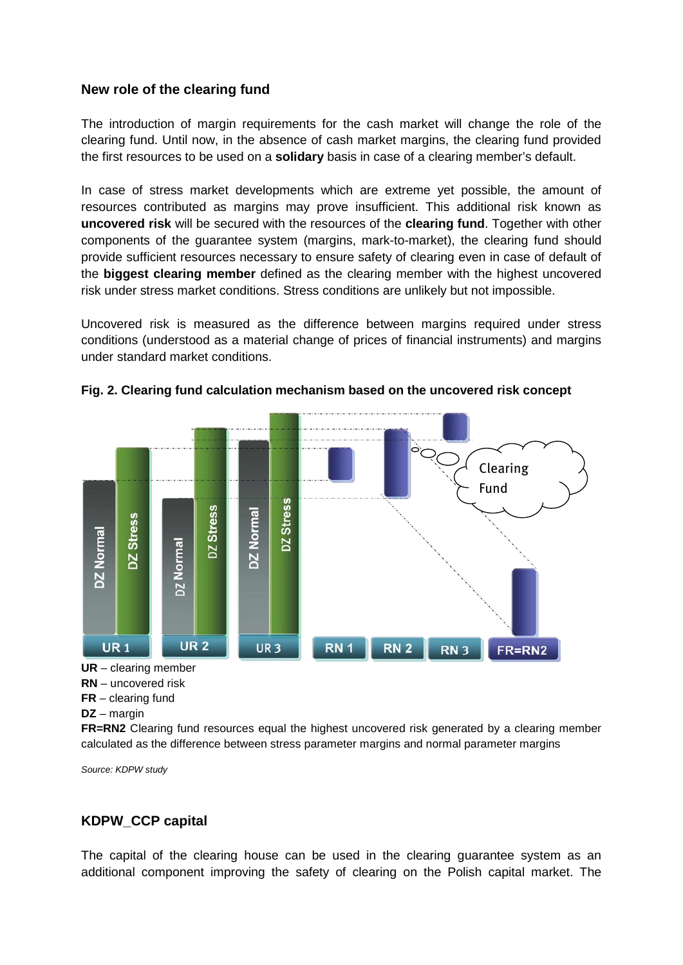## **New role of the clearing fund**

The introduction of margin requirements for the cash market will change the role of the clearing fund. Until now, in the absence of cash market margins, the clearing fund provided the first resources to be used on a **solidary** basis in case of a clearing member's default.

In case of stress market developments which are extreme yet possible, the amount of resources contributed as margins may prove insufficient. This additional risk known as **uncovered risk** will be secured with the resources of the **clearing fund**. Together with other components of the guarantee system (margins, mark-to-market), the clearing fund should provide sufficient resources necessary to ensure safety of clearing even in case of default of the **biggest clearing member** defined as the clearing member with the highest uncovered risk under stress market conditions. Stress conditions are unlikely but not impossible.

Uncovered risk is measured as the difference between margins required under stress conditions (understood as a material change of prices of financial instruments) and margins under standard market conditions.



**Fig. 2. Clearing fund calculation mechanism based on the uncovered risk concept**

```
DZ – margin
```
**FR=RN2** Clearing fund resources equal the highest uncovered risk generated by a clearing member calculated as the difference between stress parameter margins and normal parameter margins

*Source: KDPW study*

## **KDPW\_CCP capital**

The capital of the clearing house can be used in the clearing guarantee system as an additional component improving the safety of clearing on the Polish capital market. The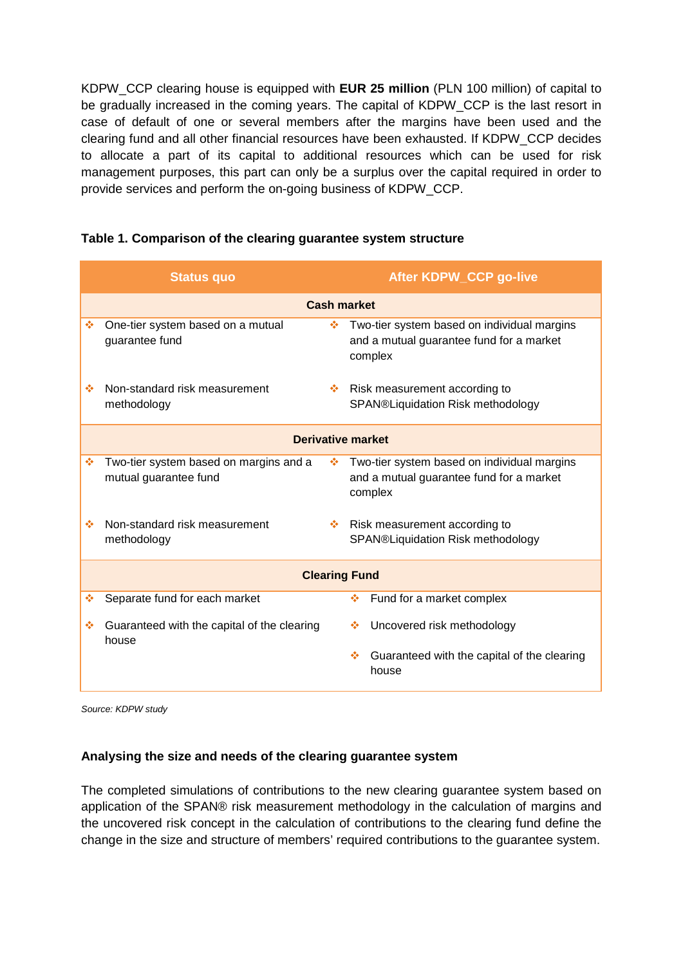KDPW\_CCP clearing house is equipped with **EUR 25 million** (PLN 100 million) of capital to be gradually increased in the coming years. The capital of KDPW\_CCP is the last resort in case of default of one or several members after the margins have been used and the clearing fund and all other financial resources have been exhausted. If KDPW\_CCP decides to allocate a part of its capital to additional resources which can be used for risk management purposes, this part can only be a surplus over the capital required in order to provide services and perform the on-going business of KDPW\_CCP.

|                          | <b>Status quo</b>                                               |    | <b>After KDPW_CCP go-live</b>                                                                      |
|--------------------------|-----------------------------------------------------------------|----|----------------------------------------------------------------------------------------------------|
| <b>Cash market</b>       |                                                                 |    |                                                                                                    |
| ÷                        | One-tier system based on a mutual<br>guarantee fund             | ❖  | Two-tier system based on individual margins<br>and a mutual guarantee fund for a market<br>complex |
| ٠                        | Non-standard risk measurement<br>methodology                    | 壘  | Risk measurement according to<br>SPAN®Liquidation Risk methodology                                 |
| <b>Derivative market</b> |                                                                 |    |                                                                                                    |
| ÷                        | Two-tier system based on margins and a<br>mutual guarantee fund | ❖  | Two-tier system based on individual margins<br>and a mutual guarantee fund for a market<br>complex |
| ٠                        | Non-standard risk measurement<br>methodology                    | ÷. | Risk measurement according to<br>SPAN®Liquidation Risk methodology                                 |
| <b>Clearing Fund</b>     |                                                                 |    |                                                                                                    |
| ٠                        | Separate fund for each market                                   |    | Fund for a market complex<br>壘                                                                     |
| ٠                        | Guaranteed with the capital of the clearing<br>house            |    | Uncovered risk methodology<br>❖                                                                    |
|                          |                                                                 |    | Guaranteed with the capital of the clearing<br>÷<br>house                                          |

### **Table 1. Comparison of the clearing guarantee system structure**

*Source: KDPW study*

### **Analysing the size and needs of the clearing guarantee system**

The completed simulations of contributions to the new clearing guarantee system based on application of the SPAN® risk measurement methodology in the calculation of margins and the uncovered risk concept in the calculation of contributions to the clearing fund define the change in the size and structure of members' required contributions to the guarantee system.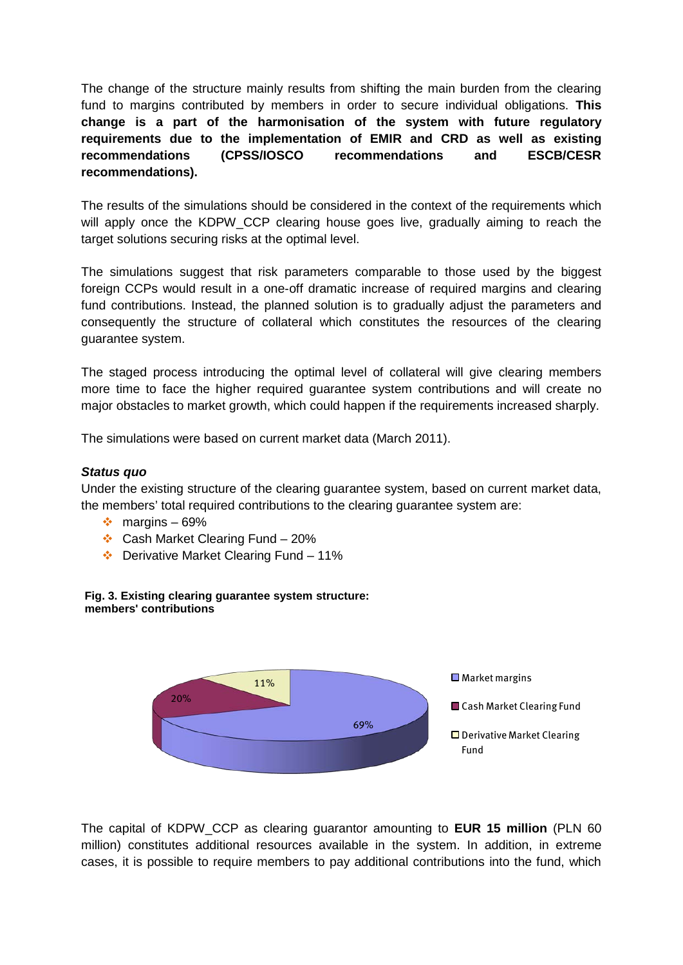The change of the structure mainly results from shifting the main burden from the clearing fund to margins contributed by members in order to secure individual obligations. **This change is a part of the harmonisation of the system with future regulatory requirements due to the implementation of EMIR and CRD as well as existing recommendations (CPSS/IOSCO recommendations and ESCB/CESR recommendations).**

The results of the simulations should be considered in the context of the requirements which will apply once the KDPW\_CCP clearing house goes live, gradually aiming to reach the target solutions securing risks at the optimal level.

The simulations suggest that risk parameters comparable to those used by the biggest foreign CCPs would result in a one-off dramatic increase of required margins and clearing fund contributions. Instead, the planned solution is to gradually adjust the parameters and consequently the structure of collateral which constitutes the resources of the clearing guarantee system.

The staged process introducing the optimal level of collateral will give clearing members more time to face the higher required guarantee system contributions and will create no major obstacles to market growth, which could happen if the requirements increased sharply.

The simulations were based on current market data (March 2011).

### *Status quo*

Under the existing structure of the clearing guarantee system, based on current market data, the members' total required contributions to the clearing guarantee system are:

- $\div$  margins 69%
- $\div$  Cash Market Clearing Fund 20%
- $\div$  Derivative Market Clearing Fund 11%





The capital of KDPW\_CCP as clearing guarantor amounting to **EUR 15 million** (PLN 60 million) constitutes additional resources available in the system. In addition, in extreme cases, it is possible to require members to pay additional contributions into the fund, which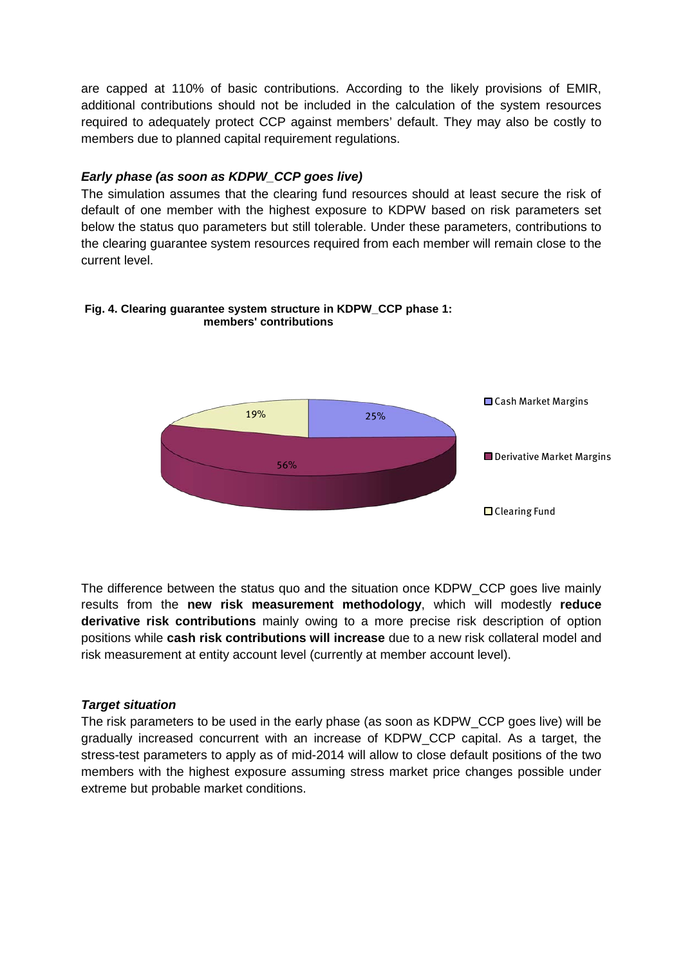are capped at 110% of basic contributions. According to the likely provisions of EMIR, additional contributions should not be included in the calculation of the system resources required to adequately protect CCP against members' default. They may also be costly to members due to planned capital requirement regulations.

## *Early phase (as soon as KDPW\_CCP goes live)*

The simulation assumes that the clearing fund resources should at least secure the risk of default of one member with the highest exposure to KDPW based on risk parameters set below the status quo parameters but still tolerable. Under these parameters, contributions to the clearing guarantee system resources required from each member will remain close to the current level.



#### **Fig. 4. Clearing guarantee system structure in KDPW\_CCP phase 1: members' contributions**

The difference between the status quo and the situation once KDPW\_CCP goes live mainly results from the **new risk measurement methodology**, which will modestly **reduce derivative risk contributions** mainly owing to a more precise risk description of option positions while **cash risk contributions will increase** due to a new risk collateral model and risk measurement at entity account level (currently at member account level).

### *Target situation*

The risk parameters to be used in the early phase (as soon as KDPW\_CCP goes live) will be gradually increased concurrent with an increase of KDPW\_CCP capital. As a target, the stress-test parameters to apply as of mid-2014 will allow to close default positions of the two members with the highest exposure assuming stress market price changes possible under extreme but probable market conditions.